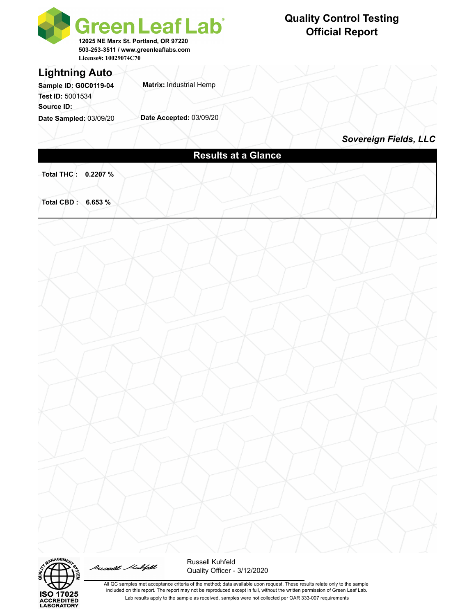



Russell Mubifeld



All QC samples met acceptance criteria of the method; data available upon request. These results relate only to the sample included on this report. The report may not be reproduced except in full, without the written permission of Green Leaf Lab. Lab results apply to the sample as received, samples were not collected per OAR 333-007 requirements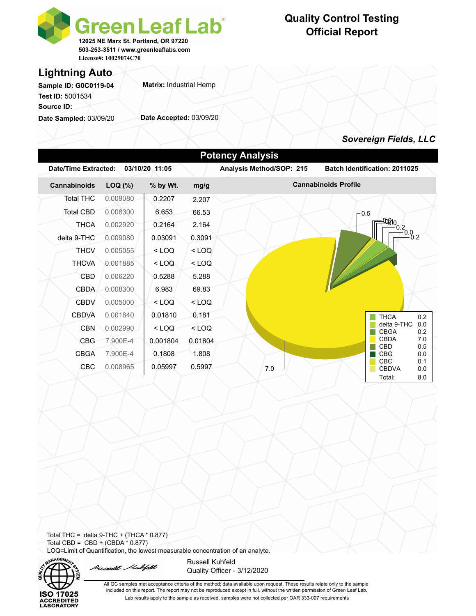

## **Quality Control Testing Official Report**

## **Lightning Auto**

**Sample ID: G0C0119-04 Test ID:** 5001534 **Source ID:** 

**Date Sampled:** 03/09/20

**Matrix:** Industrial Hemp

**Date Accepted:** 03/09/20

### *Sovereign Fields, LLC*

| Date/Time Extracted: |          | 03/10/20 11:05 |         | Analysis Method/SOP: 215 | <b>Batch Identification: 2011025</b>                      |
|----------------------|----------|----------------|---------|--------------------------|-----------------------------------------------------------|
| Cannabinoids         | LOQ (%)  | % by Wt.       | mg/g    |                          | <b>Cannabinoids Profile</b>                               |
| <b>Total THC</b>     | 0.009080 | 0.2207         | 2.207   |                          |                                                           |
| Total CBD            | 0.008300 | 6.653          | 66.53   |                          | $-0.5$                                                    |
| <b>THCA</b>          | 0.002920 | 0.2164         | 2.164   |                          |                                                           |
| delta 9-THC          | 0.009080 | 0.03091        | 0.3091  |                          | $\frac{-000!0}{0.200}$                                    |
| <b>THCV</b>          | 0.005055 | $<$ LOQ        | $<$ LOQ |                          |                                                           |
| <b>THCVA</b>         | 0.001885 | $<$ LOQ        | $<$ LOQ |                          |                                                           |
| CBD                  | 0.006220 | 0.5288         | 5.288   |                          |                                                           |
| <b>CBDA</b>          | 0.008300 | 6.983          | 69.83   |                          |                                                           |
| <b>CBDV</b>          | 0.005000 | $<$ LOQ        | $<$ LOQ |                          |                                                           |
| <b>CBDVA</b>         | 0.001640 | 0.01810        | 0.181   |                          | <b>THCA</b><br>0.2                                        |
| <b>CBN</b>           | 0.002990 | $<$ LOQ        | $<$ LOQ |                          | delta 9-THC<br>0.0<br><b>CBGA</b><br>0.2                  |
| <b>CBG</b>           | 7.900E-4 | 0.001804       | 0.01804 |                          | <b>CBDA</b><br>7.0                                        |
| <b>CBGA</b>          | 7.900E-4 | 0.1808         | 1.808   |                          | CBD<br>0.5<br><b>CBG</b><br>0.0                           |
| <b>CBC</b>           | 0.008965 | 0.05997        | 0.5997  | $7.0 -$                  | <b>CBC</b><br>0.1<br><b>CBDVA</b><br>0.0<br>8.0<br>Total: |
|                      |          |                |         |                          |                                                           |

Total THC = delta  $9$ -THC + (THCA  $*$  0.877) Total CBD =  $CBD + (CBDA * 0.877)$ LOQ=Limit of Quantification, the lowest measurable concentration of an analyte.



Russell Mubfeld

Russell Kuhfeld Quality Officer - 3/12/2020

All QC samples met acceptance criteria of the method; data available upon request. These results relate only to the sample included on this report. The report may not be reproduced except in full, without the written permission of Green Leaf Lab. Lab results apply to the sample as received, samples were not collected per OAR 333-007 requirements